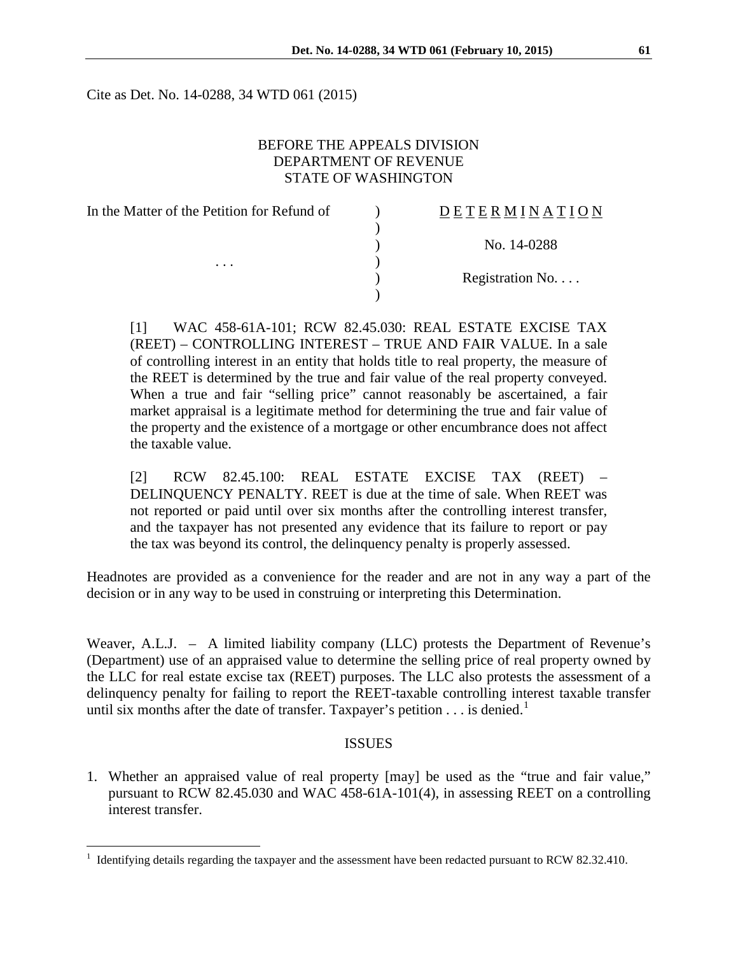Cite as Det. No. 14-0288, 34 WTD 061 (2015)

### BEFORE THE APPEALS DIVISION DEPARTMENT OF REVENUE STATE OF WASHINGTON

| In the Matter of the Petition for Refund of | <b>DETERMINATION</b> |
|---------------------------------------------|----------------------|
| $\cdots$                                    |                      |
|                                             | No. 14-0288          |
|                                             |                      |
|                                             | Registration No      |
|                                             |                      |

[1] WAC 458-61A-101; RCW 82.45.030: REAL ESTATE EXCISE TAX (REET) – CONTROLLING INTEREST – TRUE AND FAIR VALUE. In a sale of controlling interest in an entity that holds title to real property, the measure of the REET is determined by the true and fair value of the real property conveyed. When a true and fair "selling price" cannot reasonably be ascertained, a fair market appraisal is a legitimate method for determining the true and fair value of the property and the existence of a mortgage or other encumbrance does not affect the taxable value.

[2] RCW 82.45.100: REAL ESTATE EXCISE TAX (REET) – DELINQUENCY PENALTY. REET is due at the time of sale. When REET was not reported or paid until over six months after the controlling interest transfer, and the taxpayer has not presented any evidence that its failure to report or pay the tax was beyond its control, the delinquency penalty is properly assessed.

Headnotes are provided as a convenience for the reader and are not in any way a part of the decision or in any way to be used in construing or interpreting this Determination.

Weaver, A.L.J. – A limited liability company (LLC) protests the Department of Revenue's (Department) use of an appraised value to determine the selling price of real property owned by the LLC for real estate excise tax (REET) purposes. The LLC also protests the assessment of a delinquency penalty for failing to report the REET-taxable controlling interest taxable transfer until six months after the date of transfer. Taxpayer's petition  $\dots$  is denied.<sup>[1](#page-0-0)</sup>

#### ISSUES

1. Whether an appraised value of real property [may] be used as the "true and fair value," pursuant to RCW 82.45.030 and WAC 458-61A-101(4), in assessing REET on a controlling interest transfer.

 $\overline{a}$ 

<span id="page-0-0"></span><sup>1</sup> Identifying details regarding the taxpayer and the assessment have been redacted pursuant to RCW 82.32.410.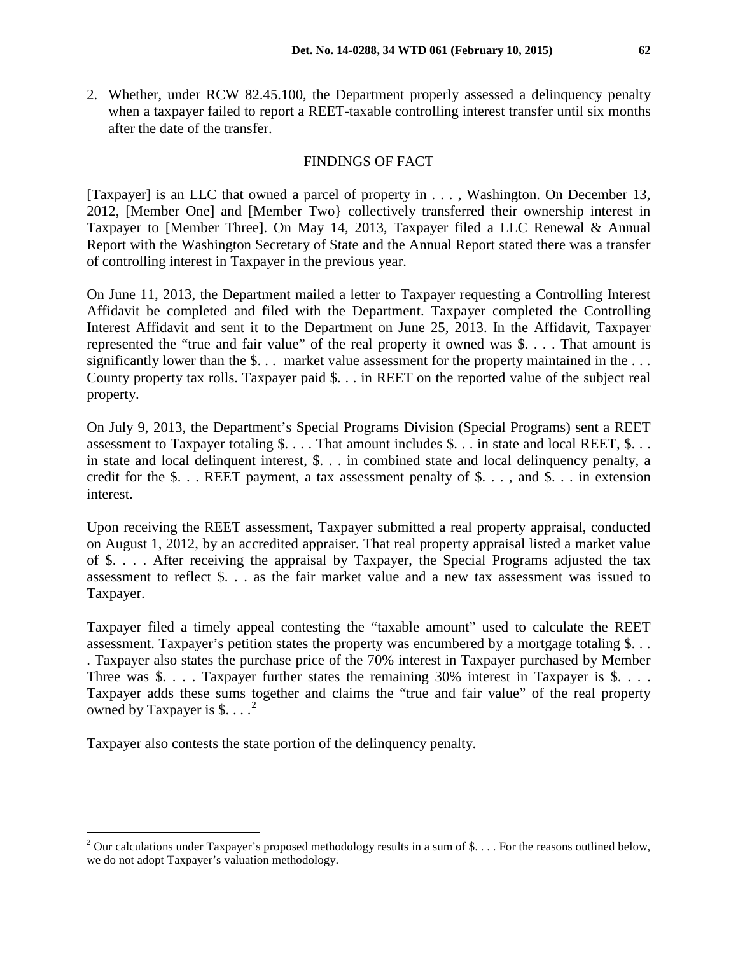2. Whether, under RCW 82.45.100, the Department properly assessed a delinquency penalty when a taxpayer failed to report a REET-taxable controlling interest transfer until six months after the date of the transfer.

## FINDINGS OF FACT

[Taxpayer] is an LLC that owned a parcel of property in . . . , Washington. On December 13, 2012, [Member One] and [Member Two} collectively transferred their ownership interest in Taxpayer to [Member Three]. On May 14, 2013, Taxpayer filed a LLC Renewal & Annual Report with the Washington Secretary of State and the Annual Report stated there was a transfer of controlling interest in Taxpayer in the previous year.

On June 11, 2013, the Department mailed a letter to Taxpayer requesting a Controlling Interest Affidavit be completed and filed with the Department. Taxpayer completed the Controlling Interest Affidavit and sent it to the Department on June 25, 2013. In the Affidavit, Taxpayer represented the "true and fair value" of the real property it owned was \$. . . . That amount is significantly lower than the \$... market value assessment for the property maintained in the ... County property tax rolls. Taxpayer paid \$. . . in REET on the reported value of the subject real property.

On July 9, 2013, the Department's Special Programs Division (Special Programs) sent a REET assessment to Taxpayer totaling \$. . . . That amount includes \$. . . in state and local REET, \$. . . in state and local delinquent interest, \$. . . in combined state and local delinquency penalty, a credit for the  $\$ ... REET payment, a tax assessment penalty of  $\$ ..., and  $\)$ ... in extension interest.

Upon receiving the REET assessment, Taxpayer submitted a real property appraisal, conducted on August 1, 2012, by an accredited appraiser. That real property appraisal listed a market value of \$. . . . After receiving the appraisal by Taxpayer, the Special Programs adjusted the tax assessment to reflect \$. . . as the fair market value and a new tax assessment was issued to Taxpayer.

Taxpayer filed a timely appeal contesting the "taxable amount" used to calculate the REET assessment. Taxpayer's petition states the property was encumbered by a mortgage totaling \$. . . . Taxpayer also states the purchase price of the 70% interest in Taxpayer purchased by Member Three was \$. . . . Taxpayer further states the remaining 30% interest in Taxpayer is \$. . . . Taxpayer adds these sums together and claims the "true and fair value" of the real property owned by Taxpayer is \$....<sup>[2](#page-1-0)</sup>

Taxpayer also contests the state portion of the delinquency penalty.

 $\overline{a}$ 

<span id="page-1-0"></span><sup>&</sup>lt;sup>2</sup> Our calculations under Taxpayer's proposed methodology results in a sum of \$.... For the reasons outlined below, we do not adopt Taxpayer's valuation methodology.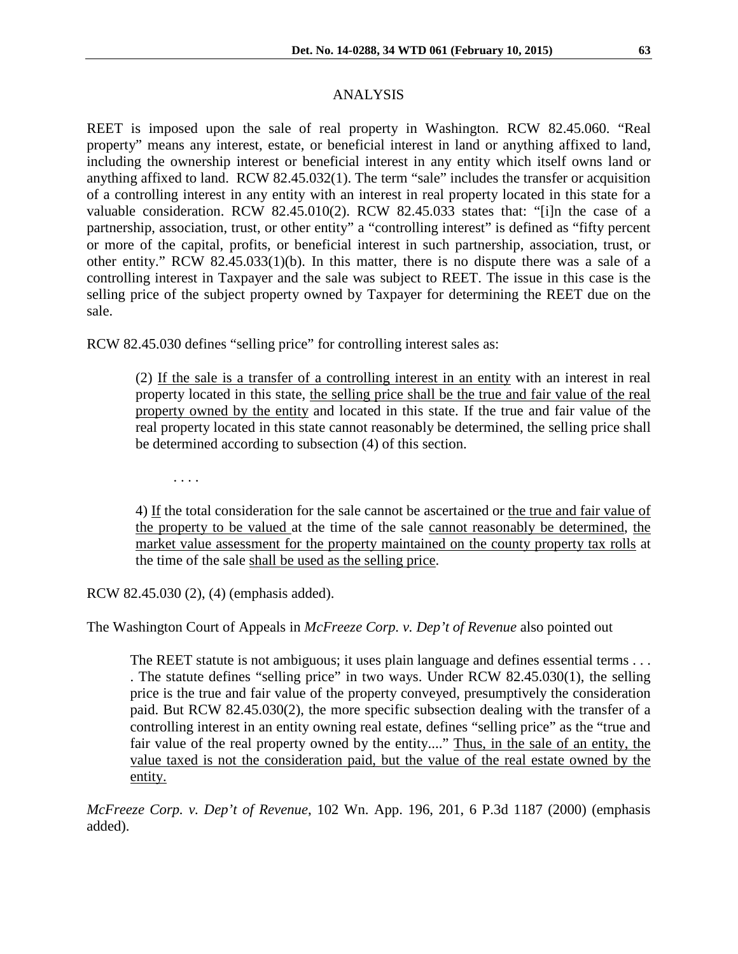# ANALYSIS

REET is imposed upon the sale of real property in Washington. RCW 82.45.060. "Real property" means any interest, estate, or beneficial interest in land or anything affixed to land, including the ownership interest or beneficial interest in any entity which itself owns land or anything affixed to land. RCW 82.45.032(1). The term "sale" includes the transfer or acquisition of a controlling interest in any entity with an interest in real property located in this state for a valuable consideration. RCW 82.45.010(2). RCW 82.45.033 states that: "[i]n the case of a partnership, association, trust, or other entity" a "controlling interest" is defined as "fifty percent or more of the capital, profits, or beneficial interest in such partnership, association, trust, or other entity." RCW 82.45.033(1)(b). In this matter, there is no dispute there was a sale of a controlling interest in Taxpayer and the sale was subject to REET. The issue in this case is the selling price of the subject property owned by Taxpayer for determining the REET due on the sale.

RCW 82.45.030 defines "selling price" for controlling interest sales as:

(2) If the sale is a transfer of a controlling interest in an entity with an interest in real property located in this state, the selling price shall be the true and fair value of the real property owned by the entity and located in this state. If the true and fair value of the real property located in this state cannot reasonably be determined, the selling price shall be determined according to subsection (4) of this section.

. . . .

4) If the total consideration for the sale cannot be ascertained or the true and fair value of the property to be valued at the time of the sale cannot reasonably be determined, the market value assessment for the property maintained on the county property tax rolls at the time of the sale shall be used as the selling price.

RCW 82.45.030 (2), (4) (emphasis added).

The Washington Court of Appeals in *McFreeze Corp. v. Dep't of Revenue* also pointed out

The REET statute is not ambiguous; it uses plain language and defines essential terms . . . . The statute defines "selling price" in two ways. Under [RCW 82.45.030\(](http://web2.westlaw.com/find/default.wl?tf=-1&rs=WLW9.11&fn=_top&sv=Split&docname=WAST82.45.030&tc=-1&pbc=2DDD4D19&ordoc=2000488979&findtype=L&db=1000259&vr=2.0&rp=%2ffind%2fdefault.wl&mt=Westlaw)1), the selling price is the true and fair value of the property conveyed, presumptively the consideration paid. But [RCW 82.45.030\(](http://web2.westlaw.com/find/default.wl?tf=-1&rs=WLW9.11&fn=_top&sv=Split&docname=WAST82.45.030&tc=-1&pbc=2DDD4D19&ordoc=2000488979&findtype=L&db=1000259&vr=2.0&rp=%2ffind%2fdefault.wl&mt=Westlaw)2), the more specific subsection dealing with the transfer of a controlling interest in an entity owning real estate, defines "selling price" as the "true and fair value of the real property owned by the entity...." Thus, in the sale of an entity, the value taxed is not the consideration paid, but the value of the real estate owned by the entity.

*McFreeze Corp. v. Dep't of Revenue*, 102 Wn. App. 196, 201, 6 P.3d 1187 (2000) (emphasis added).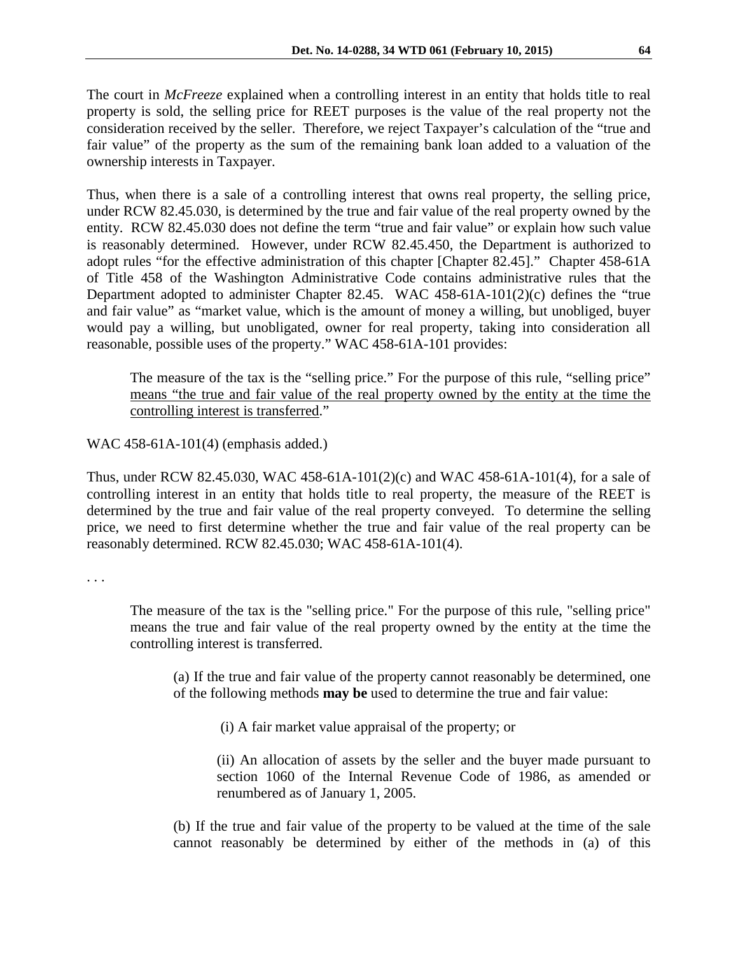The court in *McFreeze* explained when a controlling interest in an entity that holds title to real property is sold, the selling price for REET purposes is the value of the real property not the consideration received by the seller. Therefore, we reject Taxpayer's calculation of the "true and fair value" of the property as the sum of the remaining bank loan added to a valuation of the ownership interests in Taxpayer.

Thus, when there is a sale of a controlling interest that owns real property, the selling price, under RCW 82.45.030, is determined by the true and fair value of the real property owned by the entity. RCW 82.45.030 does not define the term "true and fair value" or explain how such value is reasonably determined. However, under RCW 82.45.450, the Department is authorized to adopt rules "for the effective administration of this chapter [Chapter 82.45]." Chapter 458-61A of Title 458 of the Washington Administrative Code contains administrative rules that the Department adopted to administer Chapter 82.45. WAC 458-61A-101(2)(c) defines the "true and fair value" as "market value, which is the amount of money a willing, but unobliged, buyer would pay a willing, but unobligated, owner for real property, taking into consideration all reasonable, possible uses of the property." WAC 458-61A-101 provides:

The measure of the tax is the "selling price." For the purpose of this rule, "selling price" means "the true and fair value of the real property owned by the entity at the time the controlling interest is transferred."

WAC 458-61A-101(4) (emphasis added.)

Thus, under RCW 82.45.030, WAC 458-61A-101(2)(c) and WAC 458-61A-101(4), for a sale of controlling interest in an entity that holds title to real property, the measure of the REET is determined by the true and fair value of the real property conveyed. To determine the selling price, we need to first determine whether the true and fair value of the real property can be reasonably determined. RCW 82.45.030; WAC 458-61A-101(4).

. . .

The measure of the tax is the "selling price." For the purpose of this rule, "selling price" means the true and fair value of the real property owned by the entity at the time the controlling interest is transferred.

(a) If the true and fair value of the property cannot reasonably be determined, one of the following methods **may be** used to determine the true and fair value:

(i) A fair market value appraisal of the property; or

(ii) An allocation of assets by the seller and the buyer made pursuant to section 1060 of the Internal Revenue Code of 1986, as amended or renumbered as of January 1, 2005.

(b) If the true and fair value of the property to be valued at the time of the sale cannot reasonably be determined by either of the methods in (a) of this